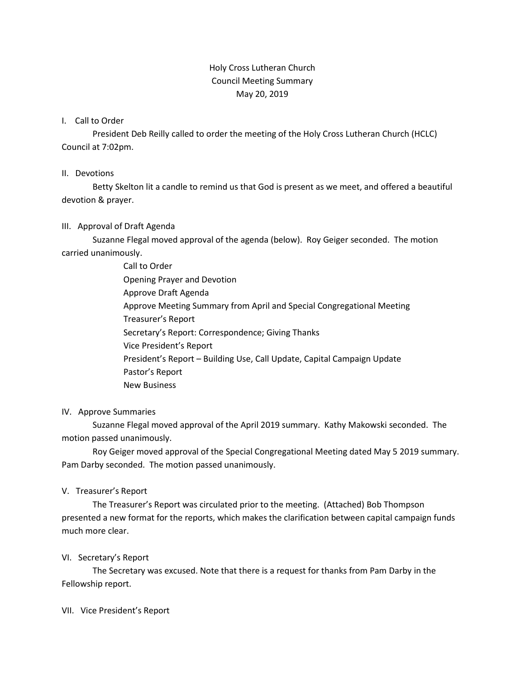# Holy Cross Lutheran Church Council Meeting Summary May 20, 2019

### I. Call to Order

President Deb Reilly called to order the meeting of the Holy Cross Lutheran Church (HCLC) Council at 7:02pm.

#### II. Devotions

Betty Skelton lit a candle to remind us that God is present as we meet, and offered a beautiful devotion & prayer.

### III. Approval of Draft Agenda

Suzanne Flegal moved approval of the agenda (below). Roy Geiger seconded. The motion carried unanimously.

> Call to Order Opening Prayer and Devotion Approve Draft Agenda Approve Meeting Summary from April and Special Congregational Meeting Treasurer's Report Secretary's Report: Correspondence; Giving Thanks Vice President's Report President's Report – Building Use, Call Update, Capital Campaign Update Pastor's Report New Business

### IV. Approve Summaries

Suzanne Flegal moved approval of the April 2019 summary. Kathy Makowski seconded. The motion passed unanimously.

Roy Geiger moved approval of the Special Congregational Meeting dated May 5 2019 summary. Pam Darby seconded. The motion passed unanimously.

### V. Treasurer's Report

The Treasurer's Report was circulated prior to the meeting. (Attached) Bob Thompson presented a new format for the reports, which makes the clarification between capital campaign funds much more clear.

### VI. Secretary's Report

The Secretary was excused. Note that there is a request for thanks from Pam Darby in the Fellowship report.

### VII. Vice President's Report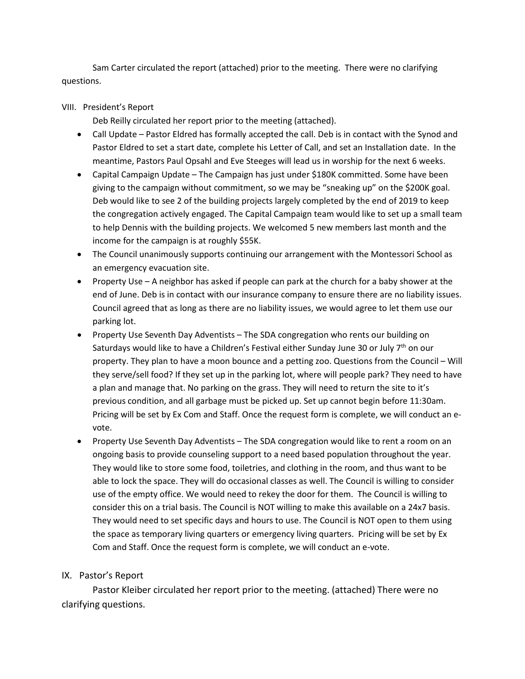Sam Carter circulated the report (attached) prior to the meeting. There were no clarifying questions.

### VIII. President's Report

Deb Reilly circulated her report prior to the meeting (attached).

- Call Update Pastor Eldred has formally accepted the call. Deb is in contact with the Synod and Pastor Eldred to set a start date, complete his Letter of Call, and set an Installation date. In the meantime, Pastors Paul Opsahl and Eve Steeges will lead us in worship for the next 6 weeks.
- Capital Campaign Update The Campaign has just under \$180K committed. Some have been giving to the campaign without commitment, so we may be "sneaking up" on the \$200K goal. Deb would like to see 2 of the building projects largely completed by the end of 2019 to keep the congregation actively engaged. The Capital Campaign team would like to set up a small team to help Dennis with the building projects. We welcomed 5 new members last month and the income for the campaign is at roughly \$55K.
- The Council unanimously supports continuing our arrangement with the Montessori School as an emergency evacuation site.
- Property Use A neighbor has asked if people can park at the church for a baby shower at the end of June. Deb is in contact with our insurance company to ensure there are no liability issues. Council agreed that as long as there are no liability issues, we would agree to let them use our parking lot.
- Property Use Seventh Day Adventists The SDA congregation who rents our building on Saturdays would like to have a Children's Festival either Sunday June 30 or July 7<sup>th</sup> on our property. They plan to have a moon bounce and a petting zoo. Questions from the Council – Will they serve/sell food? If they set up in the parking lot, where will people park? They need to have a plan and manage that. No parking on the grass. They will need to return the site to it's previous condition, and all garbage must be picked up. Set up cannot begin before 11:30am. Pricing will be set by Ex Com and Staff. Once the request form is complete, we will conduct an evote.
- Property Use Seventh Day Adventists The SDA congregation would like to rent a room on an ongoing basis to provide counseling support to a need based population throughout the year. They would like to store some food, toiletries, and clothing in the room, and thus want to be able to lock the space. They will do occasional classes as well. The Council is willing to consider use of the empty office. We would need to rekey the door for them. The Council is willing to consider this on a trial basis. The Council is NOT willing to make this available on a 24x7 basis. They would need to set specific days and hours to use. The Council is NOT open to them using the space as temporary living quarters or emergency living quarters. Pricing will be set by Ex Com and Staff. Once the request form is complete, we will conduct an e-vote.

# IX. Pastor's Report

Pastor Kleiber circulated her report prior to the meeting. (attached) There were no clarifying questions.